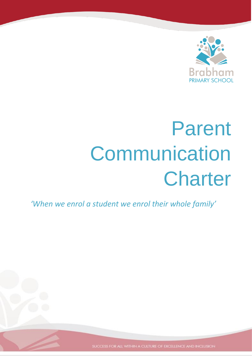

# Parent **Communication Charter**

*'When we enrol a student we enrol their whole family'*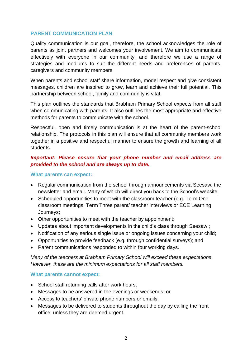## **PARENT COMMUNICATION PLAN**

Quality communication is our goal, therefore, the school acknowledges the role of parents as joint partners and welcomes your involvement. We aim to communicate effectively with everyone in our community, and therefore we use a range of strategies and mediums to suit the different needs and preferences of parents, caregivers and community members.

When parents and school staff share information, model respect and give consistent messages, children are inspired to grow, learn and achieve their full potential. This partnership between school, family and community is vital.

This plan outlines the standards that Brabham Primary School expects from all staff when communicating with parents. It also outlines the most appropriate and effective methods for parents to communicate with the school.

Respectful, open and timely communication is at the heart of the parent-school relationship. The protocols in this plan will ensure that all community members work together in a positive and respectful manner to ensure the growth and learning of all students.

# *Important: Please ensure that your phone number and email address are provided to the school and are always up to date.*

#### **What parents can expect:**

- Regular communication from the school through announcements via Seesaw, the newsletter and email. Many of which will direct you back to the School's website;
- Scheduled opportunities to meet with the classroom teacher (e.g. Term One classroom meetings, Term Three parent/ teacher interviews or ECE Learning Journeys;
- Other opportunities to meet with the teacher by appointment;
- Updates about important developments in the child's class through Seesaw ;
- Notification of any serious single issue or ongoing issues concerning your child;
- Opportunities to provide feedback (e.g. through confidential surveys); and
- Parent communications responded to within four working days.

*Many of the teachers at Brabham Primary School will exceed these expectations. However, these are the minimum expectations for all staff members.* 

#### **What parents cannot expect:**

- School staff returning calls after work hours;
- Messages to be answered in the evenings or weekends; or
- Access to teachers' private phone numbers or emails.
- Messages to be delivered to students throughout the day by calling the front office, unless they are deemed urgent.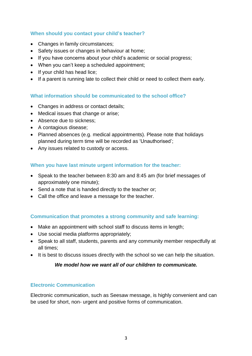# **When should you contact your child's teacher?**

- Changes in family circumstances;
- Safety issues or changes in behaviour at home;
- If you have concerns about your child's academic or social progress:
- When you can't keep a scheduled appointment;
- If your child has head lice;
- If a parent is running late to collect their child or need to collect them early.

# **What information should be communicated to the school office?**

- Changes in address or contact details;
- Medical issues that change or arise:
- Absence due to sickness;
- A contagious disease;
- Planned absences (e.g. medical appointments). Please note that holidays planned during term time will be recorded as 'Unauthorised';
- Any issues related to custody or access.

# **When you have last minute urgent information for the teacher:**

- Speak to the teacher between 8:30 am and 8:45 am (for brief messages of approximately one minute);
- Send a note that is handed directly to the teacher or;
- Call the office and leave a message for the teacher.

# **Communication that promotes a strong community and safe learning:**

- Make an appointment with school staff to discuss items in length;
- Use social media platforms appropriately;
- Speak to all staff, students, parents and any community member respectfully at all times;
- It is best to discuss issues directly with the school so we can help the situation.

# *We model how we want all of our children to communicate.*

# **Electronic Communication**

Electronic communication, such as Seesaw message, is highly convenient and can be used for short, non- urgent and positive forms of communication.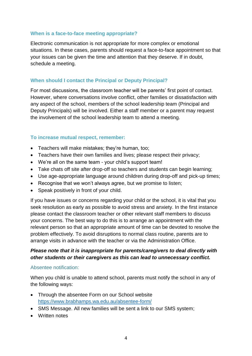# **When is a face-to-face meeting appropriate?**

Electronic communication is not appropriate for more complex or emotional situations. In these cases, parents should request a face-to-face appointment so that your issues can be given the time and attention that they deserve. If in doubt, schedule a meeting.

#### **When should I contact the Principal or Deputy Principal?**

For most discussions, the classroom teacher will be parents' first point of contact. However, where conversations involve conflict, other families or dissatisfaction with any aspect of the school, members of the school leadership team (Principal and Deputy Principals) will be involved. Either a staff member or a parent may request the involvement of the school leadership team to attend a meeting.

#### **To increase mutual respect, remember:**

- Teachers will make mistakes; they're human, too:
- Teachers have their own families and lives; please respect their privacy;
- We're all on the same team your child's support team!
- Take chats off site after drop-off so teachers and students can begin learning;
- Use age-appropriate language around children during drop-off and pick-up times;
- Recognise that we won't always agree, but we promise to listen;
- Speak positively in front of your child.

If you have issues or concerns regarding your child or the school, it is vital that you seek resolution as early as possible to avoid stress and anxiety. In the first instance please contact the classroom teacher or other relevant staff members to discuss your concerns. The best way to do this is to arrange an appointment with the relevant person so that an appropriate amount of time can be devoted to resolve the problem effectively. To avoid disruptions to normal class routine, parents are to arrange visits in advance with the teacher or via the Administration Office.

# *Please note that it is inappropriate for parents/caregivers to deal directly with other students or their caregivers as this can lead to unnecessary conflict.*

#### Absentee notification:

When you child is unable to attend school, parents must notify the school in any of the following ways:

- Through the absentee Form on our School website <https://www.brabhamps.wa.edu.au/absentee-form/>
- SMS Message. All new families will be sent a link to our SMS system;
- Written notes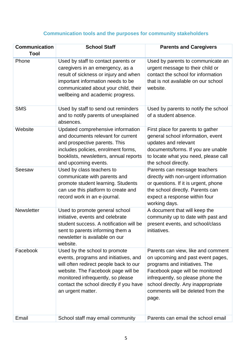# **Communication tools and the purposes for community stakeholders**

| <b>Communication</b><br>Tool | <b>School Staff</b>                                                                                                                                                                                                                                         | <b>Parents and Caregivers</b>                                                                                                                                                                                                                                        |
|------------------------------|-------------------------------------------------------------------------------------------------------------------------------------------------------------------------------------------------------------------------------------------------------------|----------------------------------------------------------------------------------------------------------------------------------------------------------------------------------------------------------------------------------------------------------------------|
| Phone                        | Used by staff to contact parents or<br>caregivers in an emergency, as a<br>result of sickness or injury and when<br>important information needs to be<br>communicated about your child, their<br>wellbeing and academic progress.                           | Used by parents to communicate an<br>urgent message to their child or<br>contact the school for information<br>that is not available on our school<br>website.                                                                                                       |
| <b>SMS</b>                   | Used by staff to send out reminders<br>and to notify parents of unexplained<br>absences.                                                                                                                                                                    | Used by parents to notify the school<br>of a student absence.                                                                                                                                                                                                        |
| Website                      | Updated comprehensive information<br>and documents relevant for current<br>and prospective parents. This<br>includes policies, enrolment forms,<br>booklists, newsletters, annual reports<br>and upcoming events.                                           | First place for parents to gather<br>general school information, event<br>updates and relevant<br>documents/forms. If you are unable<br>to locate what you need, please call<br>the school directly.                                                                 |
| Seesaw                       | Used by class teachers to<br>communicate with parents and<br>promote student learning. Students<br>can use this platform to create and<br>record work in an e-journal.                                                                                      | Parents can message teachers<br>directly with non-urgent information<br>or questions. If it is urgent, phone<br>the school directly. Parents can<br>expect a response within four<br>working days.                                                                   |
| Newsletter                   | Used to promote general school<br>initiative, events and celebrate<br>student success. A notification will be<br>sent to parents informing them a<br>newsletter is available on our<br>website.                                                             | A document that will keep the<br>community up to date with past and<br>present events, and school/class<br>initiatives.                                                                                                                                              |
| Facebook                     | Used by the school to promote<br>events, programs and initiatives, and<br>will often redirect people back to our<br>website. The Facebook page will be<br>monitored infrequently, so please<br>contact the school directly if you have<br>an urgent matter. | Parents can view, like and comment<br>on upcoming and past event pages,<br>programs and initiatives. The<br>Facebook page will be monitored<br>infrequently, so please phone the<br>school directly. Any inappropriate<br>comments will be deleted from the<br>page. |
| Email                        | School staff may email community                                                                                                                                                                                                                            | Parents can email the school email                                                                                                                                                                                                                                   |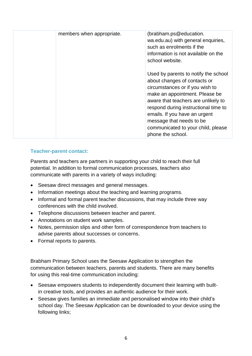| members when appropriate. | (brabham.ps@education.<br>wa.edu.au) with general enquiries,<br>such as enrolments if the<br>information is not available on the<br>school website.                                                                                                                                                                                              |
|---------------------------|--------------------------------------------------------------------------------------------------------------------------------------------------------------------------------------------------------------------------------------------------------------------------------------------------------------------------------------------------|
|                           | Used by parents to notify the school<br>about changes of contacts or<br>circumstances or if you wish to<br>make an appointment. Please be<br>aware that teachers are unlikely to<br>respond during instructional time to<br>emails. If you have an urgent<br>message that needs to be<br>communicated to your child, please<br>phone the school. |

# **Teacher-parent contact:**

Parents and teachers are partners in supporting your child to reach their full potential. In addition to formal communication processes, teachers also communicate with parents in a variety of ways including:

- Seesaw direct messages and general messages.
- Information meetings about the teaching and learning programs.
- Informal and formal parent teacher discussions, that may include three way conferences with the child involved.
- Telephone discussions between teacher and parent.
- Annotations on student work samples.
- Notes, permission slips and other form of correspondence from teachers to advise parents about successes or concerns.
- Formal reports to parents.

Brabham Primary School uses the Seesaw Application to strengthen the communication between teachers, parents and students. There are many benefits for using this real-time communication including:

- Seesaw empowers students to independently document their learning with builtin creative tools, and provides an authentic audience for their work.
- Seesaw gives families an immediate and personalised window into their child's school day. The Seesaw Application can be downloaded to your device using the following links;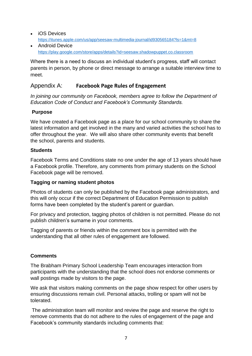- iOS Devices <https://itunes.apple.com/us/app/seesaw-multimedia-journal/id930565184?ls=1&mt=8>
- Android Device <https://play.google.com/store/apps/details?id=seesaw.shadowpuppet.co.classroom>

Where there is a need to discuss an individual student's progress, staff will contact parents in person, by phone or direct message to arrange a suitable interview time to meet.

# Appendix A: **Facebook Page Rules of Engagement**

*In joining our community on Facebook, members agree to follow the Department of Education Code of Conduct and Facebook's Community Standards.* 

# **Purpose**

We have created a Facebook page as a place for our school community to share the latest information and get involved in the many and varied activities the school has to offer throughout the year. We will also share other community events that benefit the school, parents and students.

# **Students**

Facebook Terms and Conditions state no one under the age of 13 years should have a Facebook profile. Therefore, any comments from primary students on the School Facebook page will be removed.

# **Tagging or naming student photos**

Photos of students can only be published by the Facebook page administrators, and this will only occur if the correct Department of Education Permission to publish forms have been completed by the student's parent or guardian.

For privacy and protection, tagging photos of children is not permitted. Please do not publish children's surname in your comments.

Tagging of parents or friends within the comment box is permitted with the understanding that all other rules of engagement are followed.

# **Comments**

The Brabham Primary School Leadership Team encourages interaction from participants with the understanding that the school does not endorse comments or wall postings made by visitors to the page.

We ask that visitors making comments on the page show respect for other users by ensuring discussions remain civil. Personal attacks, trolling or spam will not be tolerated.

The administration team will monitor and review the page and reserve the right to remove comments that do not adhere to the rules of engagement of the page and Facebook's community standards including comments that: